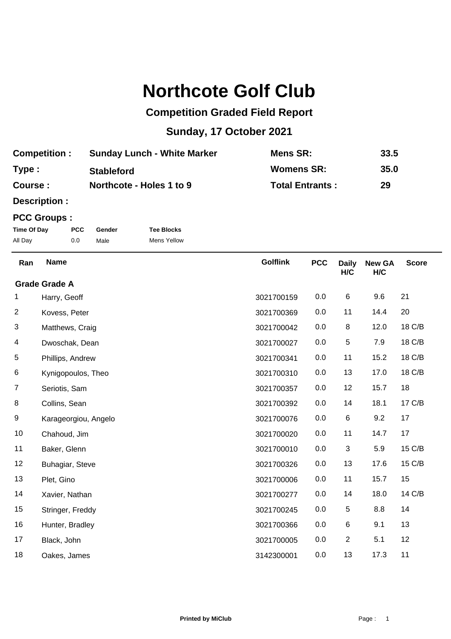## **Northcote Golf Club**

## **Competition Graded Field Report**

## **Sunday, 17 October 2021**

| <b>Competition:</b> | <b>Sunday Lunch - White Marker</b> | Mens SR:               | 33.5 |
|---------------------|------------------------------------|------------------------|------|
| Type:               | <b>Stableford</b>                  | <b>Womens SR:</b>      | 35.0 |
| <b>Course:</b>      | Northcote - Holes 1 to 9           | <b>Total Entrants:</b> | 29   |

**Description :**

## **PCC Groups :**

| Time Of Day | <b>PCC</b> | Gender | Tee |
|-------------|------------|--------|-----|
| All Day     | 0.0        | Male   | Mer |

**Time Of Day PCC Gender Tee Blocks** ns Yellow

| Ran            | <b>Name</b>          | <b>Golflink</b> | <b>PCC</b> | <b>Daily</b><br>H/C | <b>New GA</b><br>H/C | <b>Score</b> |
|----------------|----------------------|-----------------|------------|---------------------|----------------------|--------------|
|                | <b>Grade Grade A</b> |                 |            |                     |                      |              |
| 1              | Harry, Geoff         | 3021700159      | 0.0        | $\,6$               | 9.6                  | 21           |
| $\overline{2}$ | Kovess, Peter        | 3021700369      | 0.0        | 11                  | 14.4                 | 20           |
| 3              | Matthews, Craig      | 3021700042      | 0.0        | 8                   | 12.0                 | 18 C/B       |
| 4              | Dwoschak, Dean       | 3021700027      | 0.0        | $\,$ 5 $\,$         | 7.9                  | 18 C/B       |
| 5              | Phillips, Andrew     | 3021700341      | 0.0        | 11                  | 15.2                 | 18 C/B       |
| 6              | Kynigopoulos, Theo   | 3021700310      | 0.0        | 13                  | 17.0                 | 18 C/B       |
| 7              | Seriotis, Sam        | 3021700357      | 0.0        | 12                  | 15.7                 | 18           |
| 8              | Collins, Sean        | 3021700392      | 0.0        | 14                  | 18.1                 | 17 C/B       |
| 9              | Karageorgiou, Angelo | 3021700076      | 0.0        | $\,6$               | 9.2                  | 17           |
| 10             | Chahoud, Jim         | 3021700020      | 0.0        | 11                  | 14.7                 | 17           |
| 11             | Baker, Glenn         | 3021700010      | 0.0        | $\sqrt{3}$          | 5.9                  | 15 C/B       |
| 12             | Buhagiar, Steve      | 3021700326      | 0.0        | 13                  | 17.6                 | 15 C/B       |
| 13             | Plet, Gino           | 3021700006      | 0.0        | 11                  | 15.7                 | 15           |
| 14             | Xavier, Nathan       | 3021700277      | 0.0        | 14                  | 18.0                 | 14 C/B       |
| 15             | Stringer, Freddy     | 3021700245      | 0.0        | $\,$ 5 $\,$         | 8.8                  | 14           |
| 16             | Hunter, Bradley      | 3021700366      | 0.0        | 6                   | 9.1                  | 13           |
| 17             | Black, John          | 3021700005      | 0.0        | $\sqrt{2}$          | 5.1                  | 12           |
| 18             | Oakes, James         | 3142300001      | 0.0        | 13                  | 17.3                 | 11           |